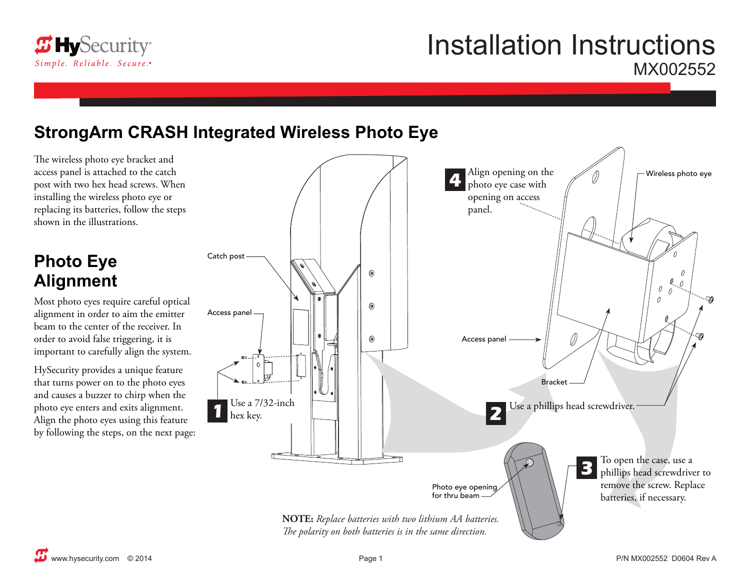

# Installation Instructions MX002552

### **StrongArm CRASH Integrated Wireless Photo Eye**

The wireless photo eye bracket and access panel is attached to the catch post with two hex head screws. When installing the wireless photo eye or replacing its batteries, follow the steps shown in the illustrations.

## **Photo Eye Alignment**

Most photo eyes require careful optical alignment in order to aim the emitter beam to the center of the receiver. In order to avoid false triggering, it is important to carefully align the system.

HySecurity provides a unique feature that turns power on to the photo eyes and causes a buzzer to chirp when the photo eye enters and exits alignment. Align the photo eyes using this feature by following the steps, on the next page: